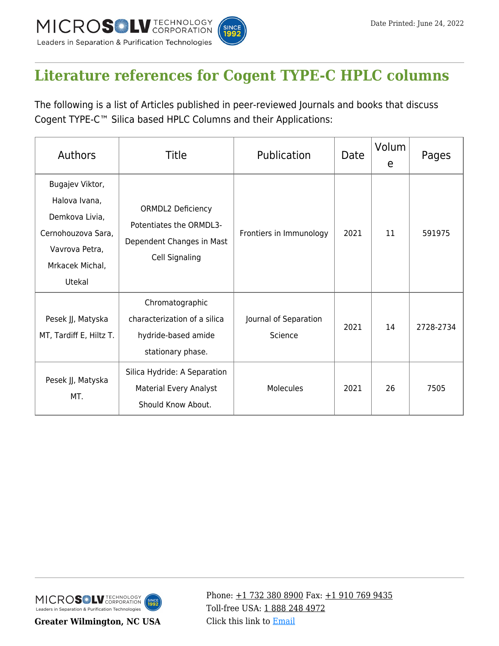

## **[Literature references for Cogent TYPE-C HPLC columns](https://kb.mtc-usa.com/article/aa-02559/46/)**

The following is a list of Articles published in peer-reviewed Journals and books that discuss Cogent TYPE-C™ Silica based HPLC Columns and their Applications:

| <b>Authors</b>                                                                                                          | <b>Title</b>                                                                                       | Publication                      | Date | Volum<br>e | Pages     |
|-------------------------------------------------------------------------------------------------------------------------|----------------------------------------------------------------------------------------------------|----------------------------------|------|------------|-----------|
| Bugajev Viktor,<br>Halova Ivana,<br>Demkova Livia,<br>Cernohouzova Sara,<br>Vavrova Petra,<br>Mrkacek Michal,<br>Utekal | <b>ORMDL2 Deficiency</b><br>Potentiates the ORMDL3-<br>Dependent Changes in Mast<br>Cell Signaling | Frontiers in Immunology          | 2021 | 11         | 591975    |
| Pesek JJ, Matyska<br>MT, Tardiff E, Hiltz T.                                                                            | Chromatographic<br>characterization of a silica<br>hydride-based amide<br>stationary phase.        | Journal of Separation<br>Science | 2021 | 14         | 2728-2734 |
| Pesek JJ, Matyska<br>MT.                                                                                                | Silica Hydride: A Separation<br>Material Every Analyst<br>Should Know About.                       | Molecules                        | 2021 | 26         | 7505      |



**Greater Wilmington, NC USA**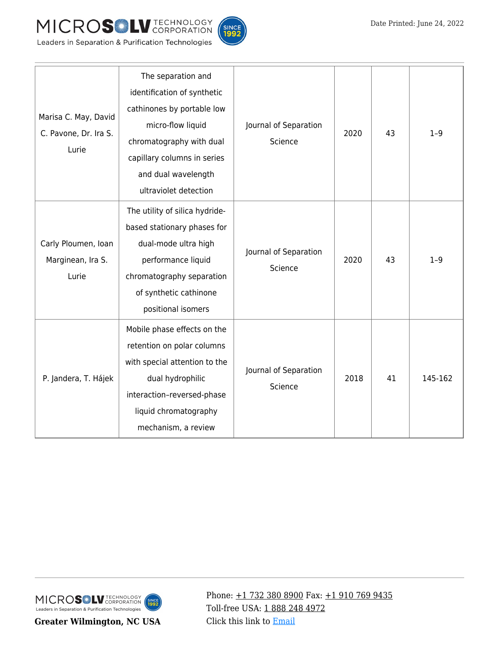





| Marisa C. May, David<br>C. Pavone, Dr. Ira S.<br>Lurie | The separation and<br>identification of synthetic<br>cathinones by portable low<br>micro-flow liquid<br>chromatography with dual<br>capillary columns in series<br>and dual wavelength<br>ultraviolet detection | Journal of Separation<br>Science | 2020 | 43 | $1 - 9$ |
|--------------------------------------------------------|-----------------------------------------------------------------------------------------------------------------------------------------------------------------------------------------------------------------|----------------------------------|------|----|---------|
| Carly Ploumen, Ioan<br>Marginean, Ira S.<br>Lurie      | The utility of silica hydride-<br>based stationary phases for<br>dual-mode ultra high<br>performance liquid<br>chromatography separation<br>of synthetic cathinone<br>positional isomers                        | Journal of Separation<br>Science | 2020 | 43 | $1 - 9$ |
| P. Jandera, T. Hájek                                   | Mobile phase effects on the<br>retention on polar columns<br>with special attention to the<br>dual hydrophilic<br>interaction-reversed-phase<br>liquid chromatography<br>mechanism, a review                    | Journal of Separation<br>Science | 2018 | 41 | 145-162 |

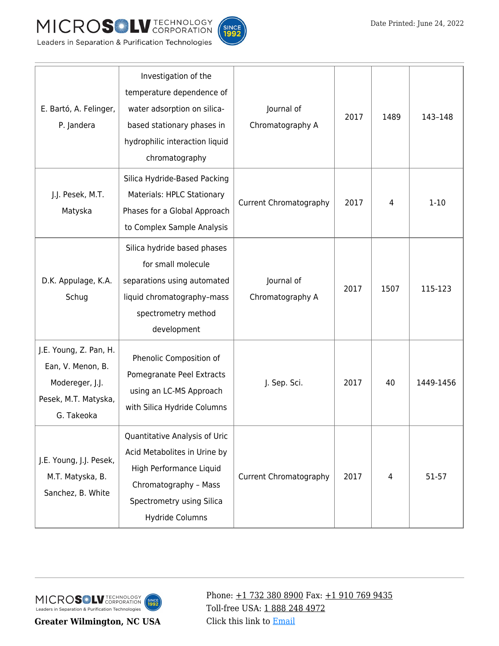



| E. Bartó, A. Felinger,<br>P. Jandera                                                                 | Investigation of the<br>temperature dependence of<br>water adsorption on silica-<br>based stationary phases in<br>hydrophilic interaction liquid<br>chromatography | Journal of<br>Chromatography A | 2017 | 1489 | 143-148   |
|------------------------------------------------------------------------------------------------------|--------------------------------------------------------------------------------------------------------------------------------------------------------------------|--------------------------------|------|------|-----------|
| J.J. Pesek, M.T.<br>Matyska                                                                          | Silica Hydride-Based Packing<br>Materials: HPLC Stationary<br>Phases for a Global Approach<br>to Complex Sample Analysis                                           | <b>Current Chromatography</b>  | 2017 | 4    | $1 - 10$  |
| D.K. Appulage, K.A.<br>Schug                                                                         | Silica hydride based phases<br>for small molecule<br>separations using automated<br>liquid chromatography-mass<br>spectrometry method<br>development               | Journal of<br>Chromatography A | 2017 | 1507 | 115-123   |
| J.E. Young, Z. Pan, H.<br>Ean, V. Menon, B.<br>Modereger, J.J.<br>Pesek, M.T. Matyska,<br>G. Takeoka | Phenolic Composition of<br>Pomegranate Peel Extracts<br>using an LC-MS Approach<br>with Silica Hydride Columns                                                     | J. Sep. Sci.                   | 2017 | 40   | 1449-1456 |
| J.E. Young, J.J. Pesek,<br>M.T. Matyska, B.<br>Sanchez, B. White                                     | Quantitative Analysis of Uric<br>Acid Metabolites in Urine by<br>High Performance Liquid<br>Chromatography - Mass<br>Spectrometry using Silica<br>Hydride Columns  | <b>Current Chromatography</b>  | 2017 | 4    | 51-57     |

**Greater Wilmington, NC USA**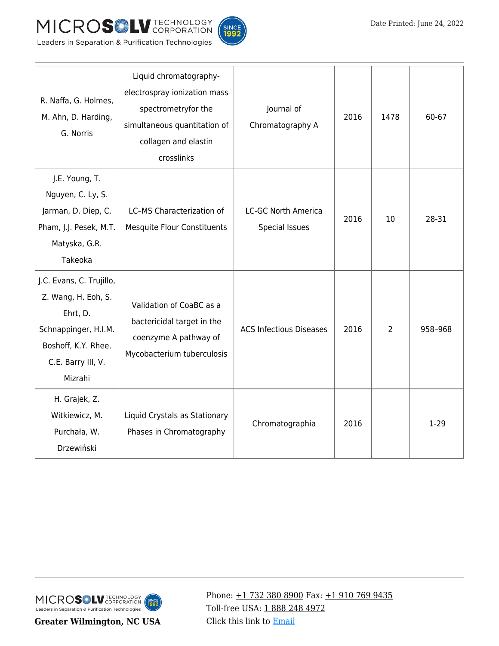



| R. Naffa, G. Holmes,<br>M. Ahn, D. Harding,<br>G. Norris                                                                                    | Liquid chromatography-<br>electrospray ionization mass<br>spectrometryfor the<br>simultaneous quantitation of<br>collagen and elastin<br>crosslinks | Journal of<br>Chromatography A               | 2016 | 1478 | 60-67   |
|---------------------------------------------------------------------------------------------------------------------------------------------|-----------------------------------------------------------------------------------------------------------------------------------------------------|----------------------------------------------|------|------|---------|
| J.E. Young, T.<br>Nguyen, C. Ly, S.<br>Jarman, D. Diep, C.<br>Pham, J.J. Pesek, M.T.<br>Matyska, G.R.<br>Takeoka                            | LC-MS Characterization of<br><b>Mesquite Flour Constituents</b>                                                                                     | <b>LC-GC North America</b><br>Special Issues | 2016 | 10   | 28-31   |
| J.C. Evans, C. Trujillo,<br>Z. Wang, H. Eoh, S.<br>Ehrt, D.<br>Schnappinger, H.I.M.<br>Boshoff, K.Y. Rhee,<br>C.E. Barry III, V.<br>Mizrahi | Validation of CoaBC as a<br>bactericidal target in the<br>coenzyme A pathway of<br>Mycobacterium tuberculosis                                       | <b>ACS Infectious Diseases</b>               | 2016 | 2    | 958-968 |
| H. Grajek, Z.<br>Witkiewicz, M.<br>Purchała, W.<br>Drzewiński                                                                               | Liquid Crystals as Stationary<br>Phases in Chromatography                                                                                           | Chromatographia                              | 2016 |      | $1-29$  |

**Greater Wilmington, NC USA**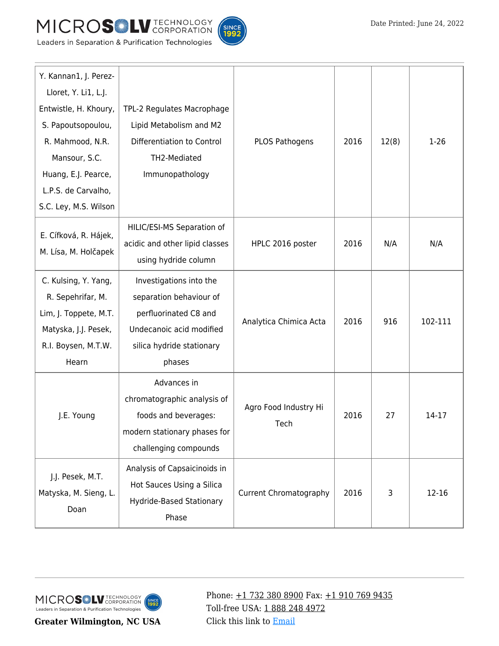



| Y. Kannan1, J. Perez-<br>Lloret, Y. Li1, L.J.<br>Entwistle, H. Khoury,<br>S. Papoutsopoulou,<br>R. Mahmood, N.R.<br>Mansour, S.C.<br>Huang, E.J. Pearce,<br>L.P.S. de Carvalho,<br>S.C. Ley, M.S. Wilson | TPL-2 Regulates Macrophage<br>Lipid Metabolism and M2<br>Differentiation to Control<br>TH2-Mediated<br>Immunopathology                                                   | PLOS Pathogens                | 2016 | 12(8) | $1 - 26$ |
|----------------------------------------------------------------------------------------------------------------------------------------------------------------------------------------------------------|--------------------------------------------------------------------------------------------------------------------------------------------------------------------------|-------------------------------|------|-------|----------|
| E. Cífková, R. Hájek,<br>M. Lísa, M. Holčapek                                                                                                                                                            | HILIC/ESI-MS Separation of<br>acidic and other lipid classes<br>using hydride column                                                                                     | HPLC 2016 poster              | 2016 | N/A   | N/A      |
| C. Kulsing, Y. Yang,<br>R. Sepehrifar, M.<br>Lim, J. Toppete, M.T.<br>Matyska, J.J. Pesek,<br>R.I. Boysen, M.T.W.<br>Hearn                                                                               | Investigations into the<br>separation behaviour of<br>perfluorinated C8 and<br>Analytica Chimica Acta<br>Undecanoic acid modified<br>silica hydride stationary<br>phases |                               | 2016 | 916   | 102-111  |
| J.E. Young                                                                                                                                                                                               | Advances in<br>chromatographic analysis of<br>foods and beverages:<br>modern stationary phases for<br>challenging compounds                                              | Agro Food Industry Hi<br>Tech | 2016 | 27    | 14-17    |
| J.J. Pesek, M.T.<br>Matyska, M. Sieng, L.<br>Doan                                                                                                                                                        | Analysis of Capsaicinoids in<br>Hot Sauces Using a Silica<br><b>Hydride-Based Stationary</b><br>Phase                                                                    | <b>Current Chromatography</b> | 2016 | 3     | 12-16    |

**Greater Wilmington, NC USA**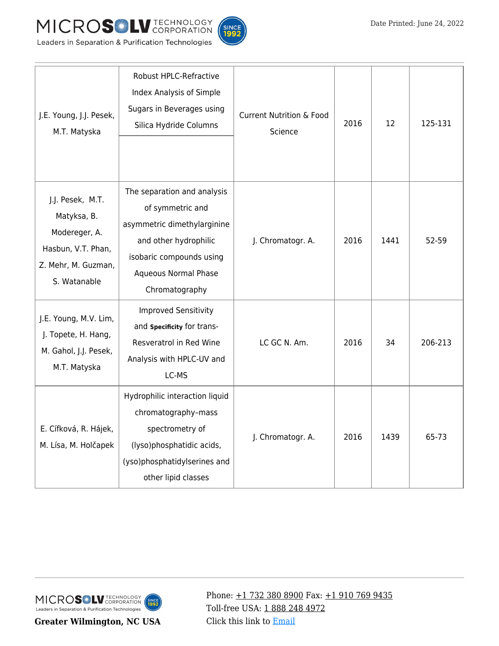



| J.E. Young, J.J. Pesek,<br>M.T. Matyska                                                                       | Robust HPLC-Refractive<br>Index Analysis of Simple<br>Sugars in Beverages using<br>Silica Hydride Columns                                                                     | <b>Current Nutrition &amp; Food</b><br>Science | 2016 | 12   | 125-131 |
|---------------------------------------------------------------------------------------------------------------|-------------------------------------------------------------------------------------------------------------------------------------------------------------------------------|------------------------------------------------|------|------|---------|
| J.J. Pesek, M.T.<br>Matyksa, B.<br>Modereger, A.<br>Hasbun, V.T. Phan,<br>Z. Mehr, M. Guzman,<br>S. Watanable | The separation and analysis<br>of symmetric and<br>asymmetric dimethylarginine<br>and other hydrophilic<br>isobaric compounds using<br>Aqueous Normal Phase<br>Chromatography | J. Chromatogr. A.                              | 2016 | 1441 | 52-59   |
| J.E. Young, M.V. Lim,<br>J. Topete, H. Hang,<br>M. Gahol, J.J. Pesek,<br>M.T. Matyska                         | <b>Improved Sensitivity</b><br>and Specificity for trans-<br>Resveratrol in Red Wine<br>Analysis with HPLC-UV and<br>LC-MS                                                    | LC GC N. Am.                                   | 2016 | 34   | 206-213 |
| E. Cífková, R. Hájek,<br>M. Lísa, M. Holčapek                                                                 | Hydrophilic interaction liquid<br>chromatography-mass<br>spectrometry of<br>(lyso)phosphatidic acids,<br>(yso)phosphatidylserines and<br>other lipid classes                  | J. Chromatogr. A.                              | 2016 | 1439 | 65-73   |

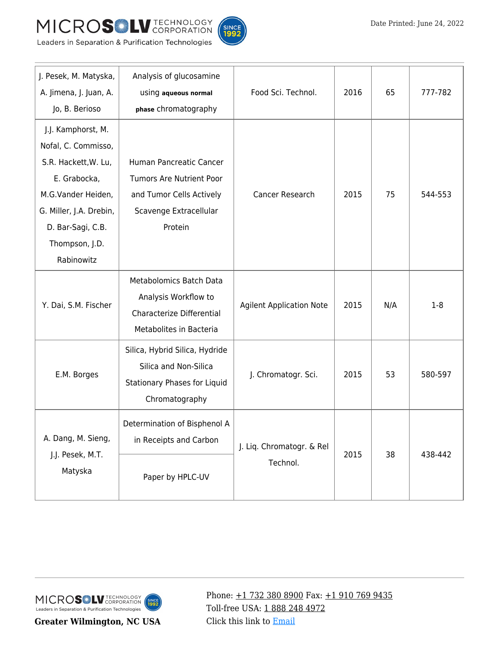



| J. Pesek, M. Matyska,<br>A. Jimena, J. Juan, A.<br>Jo, B. Berioso                                                                                                                       | Analysis of glucosamine<br>using aqueous normal<br>phase chromatography                                              | Food Sci. Technol.                    | 2016 | 65  | 777-782 |
|-----------------------------------------------------------------------------------------------------------------------------------------------------------------------------------------|----------------------------------------------------------------------------------------------------------------------|---------------------------------------|------|-----|---------|
| J.J. Kamphorst, M.<br>Nofal, C. Commisso,<br>S.R. Hackett, W. Lu,<br>E. Grabocka,<br>M.G.Vander Heiden,<br>G. Miller, J.A. Drebin,<br>D. Bar-Sagi, C.B.<br>Thompson, J.D.<br>Rabinowitz | Human Pancreatic Cancer<br>Tumors Are Nutrient Poor<br>and Tumor Cells Actively<br>Scavenge Extracellular<br>Protein | Cancer Research                       | 2015 | 75  | 544-553 |
| Y. Dai, S.M. Fischer                                                                                                                                                                    | <b>Metabolomics Batch Data</b><br>Analysis Workflow to<br>Characterize Differential<br>Metabolites in Bacteria       | <b>Agilent Application Note</b>       | 2015 | N/A | $1-8$   |
| E.M. Borges                                                                                                                                                                             | Silica, Hybrid Silica, Hydride<br>Silica and Non-Silica<br>Stationary Phases for Liquid<br>Chromatography            | J. Chromatogr. Sci.                   | 2015 | 53  | 580-597 |
| A. Dang, M. Sieng,<br>J.J. Pesek, M.T.<br>Matyska                                                                                                                                       | Determination of Bisphenol A<br>in Receipts and Carbon<br>Paper by HPLC-UV                                           | J. Liq. Chromatogr. & Rel<br>Technol. | 2015 | 38  | 438-442 |

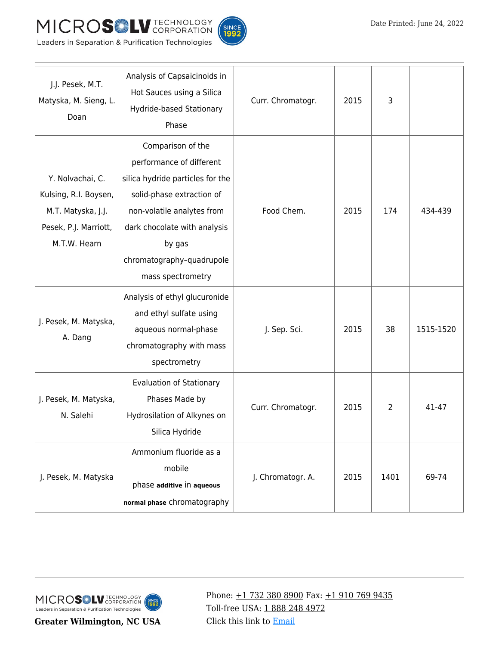



| J.J. Pesek, M.T.<br>Matyska, M. Sieng, L.<br>Doan                                                        | Analysis of Capsaicinoids in<br>Hot Sauces using a Silica<br>Hydride-based Stationary<br>Phase                                                                                                                                           | Curr. Chromatogr. | 2015 | 3    |           |
|----------------------------------------------------------------------------------------------------------|------------------------------------------------------------------------------------------------------------------------------------------------------------------------------------------------------------------------------------------|-------------------|------|------|-----------|
| Y. Nolvachai, C.<br>Kulsing, R.I. Boysen,<br>M.T. Matyska, J.J.<br>Pesek, P.J. Marriott,<br>M.T.W. Hearn | Comparison of the<br>performance of different<br>silica hydride particles for the<br>solid-phase extraction of<br>non-volatile analytes from<br>dark chocolate with analysis<br>by gas<br>chromatography-quadrupole<br>mass spectrometry | Food Chem.        | 2015 | 174  | 434-439   |
| J. Pesek, M. Matyska,<br>A. Dang                                                                         | Analysis of ethyl glucuronide<br>and ethyl sulfate using<br>aqueous normal-phase<br>chromatography with mass<br>spectrometry                                                                                                             | J. Sep. Sci.      | 2015 | 38   | 1515-1520 |
| J. Pesek, M. Matyska,<br>N. Salehi                                                                       | <b>Evaluation of Stationary</b><br>Phases Made by<br>Hydrosilation of Alkynes on<br>Silica Hydride                                                                                                                                       | Curr. Chromatogr. | 2015 | 2    | 41-47     |
| J. Pesek, M. Matyska                                                                                     | Ammonium fluoride as a<br>mobile<br>phase additive in aqueous<br>normal phase chromatography                                                                                                                                             | J. Chromatogr. A. | 2015 | 1401 | 69-74     |

**Greater Wilmington, NC USA**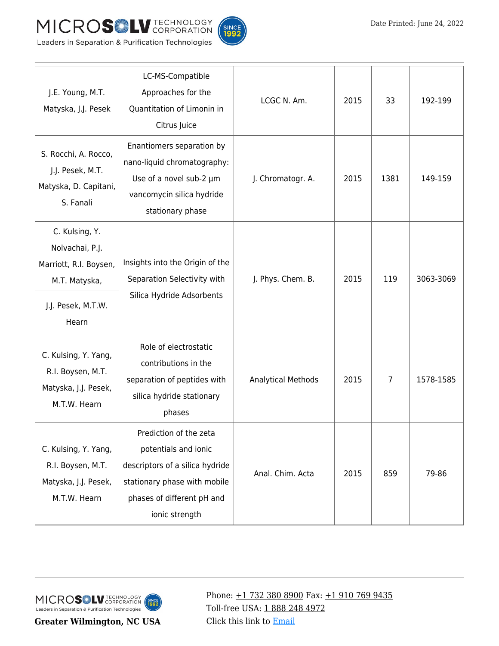



| J.E. Young, M.T.<br>Matyska, J.J. Pesek                                                                     | LC-MS-Compatible<br>Approaches for the<br>Quantitation of Limonin in<br>Citrus Juice                                                                              | LCGC N. Am.               | 2015 | 33   | 192-199   |
|-------------------------------------------------------------------------------------------------------------|-------------------------------------------------------------------------------------------------------------------------------------------------------------------|---------------------------|------|------|-----------|
| S. Rocchi, A. Rocco,<br>J.J. Pesek, M.T.<br>Matyska, D. Capitani,<br>S. Fanali                              | Enantiomers separation by<br>nano-liquid chromatography:<br>Use of a novel sub-2 µm<br>vancomycin silica hydride<br>stationary phase                              | J. Chromatogr. A.         | 2015 | 1381 | 149-159   |
| C. Kulsing, Y.<br>Nolvachai, P.J.<br>Marriott, R.I. Boysen,<br>M.T. Matyska,<br>J.J. Pesek, M.T.W.<br>Hearn | Insights into the Origin of the<br>Separation Selectivity with<br>Silica Hydride Adsorbents                                                                       | J. Phys. Chem. B.         | 2015 | 119  | 3063-3069 |
| C. Kulsing, Y. Yang,<br>R.I. Boysen, M.T.<br>Matyska, J.J. Pesek,<br>M.T.W. Hearn                           | Role of electrostatic<br>contributions in the<br>separation of peptides with<br>silica hydride stationary<br>phases                                               | <b>Analytical Methods</b> | 2015 | 7    | 1578-1585 |
| C. Kulsing, Y. Yang,<br>R.I. Boysen, M.T.<br>Matyska, J.J. Pesek,<br>M.T.W. Hearn                           | Prediction of the zeta<br>potentials and ionic<br>descriptors of a silica hydride<br>stationary phase with mobile<br>phases of different pH and<br>ionic strength | Anal. Chim. Acta          | 2015 | 859  | 79-86     |

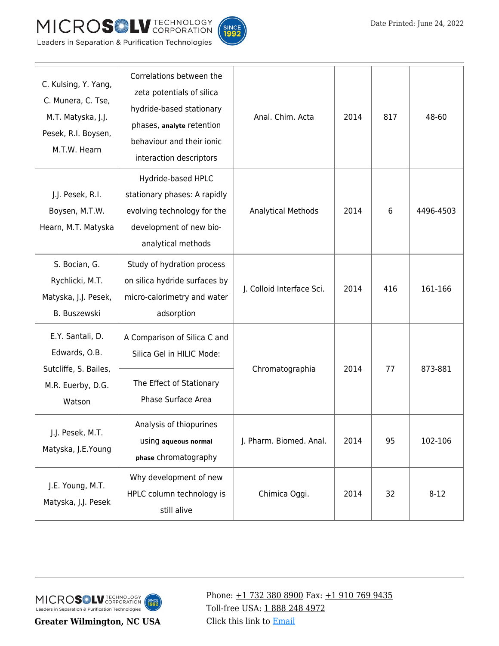



| C. Kulsing, Y. Yang,<br>C. Munera, C. Tse,<br>M.T. Matyska, J.J.<br>Pesek, R.I. Boysen,<br>M.T.W. Hearn | Correlations between the<br>zeta potentials of silica<br>hydride-based stationary<br>phases, analyte retention<br>behaviour and their ionic<br>interaction descriptors | Anal. Chim. Acta          | 2014 | 817 | 48-60     |
|---------------------------------------------------------------------------------------------------------|------------------------------------------------------------------------------------------------------------------------------------------------------------------------|---------------------------|------|-----|-----------|
| J.J. Pesek, R.I.<br>Boysen, M.T.W.<br>Hearn, M.T. Matyska                                               | Hydride-based HPLC<br>stationary phases: A rapidly<br>evolving technology for the<br>development of new bio-<br>analytical methods                                     | <b>Analytical Methods</b> | 2014 | 6   | 4496-4503 |
| S. Bocian, G.<br>Rychlicki, M.T.<br>Matyska, J.J. Pesek,<br>B. Buszewski                                | Study of hydration process<br>on silica hydride surfaces by<br>micro-calorimetry and water<br>adsorption                                                               | J. Colloid Interface Sci. | 2014 | 416 | 161-166   |
| E.Y. Santali, D.<br>Edwards, O.B.<br>Sutcliffe, S. Bailes,<br>M.R. Euerby, D.G.<br>Watson               | A Comparison of Silica C and<br>Silica Gel in HILIC Mode:<br>The Effect of Stationary<br>Phase Surface Area                                                            | Chromatographia           | 2014 | 77  | 873-881   |
| J.J. Pesek, M.T.<br>Matyska, J.E.Young                                                                  | Analysis of thiopurines<br>using aqueous normal<br>phase chromatography                                                                                                | J. Pharm. Biomed. Anal.   | 2014 | 95  | 102-106   |
| J.E. Young, M.T.<br>Matyska, J.J. Pesek                                                                 | Why development of new<br>HPLC column technology is<br>still alive                                                                                                     | Chimica Oggi.             | 2014 | 32  | $8 - 12$  |

**Greater Wilmington, NC USA**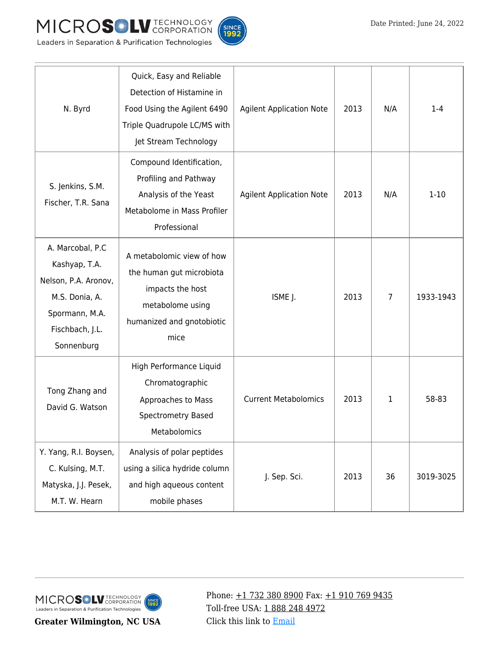



| N. Byrd                                                                                                                        | Quick, Easy and Reliable<br>Detection of Histamine in<br>Food Using the Agilent 6490<br>Triple Quadrupole LC/MS with<br>Jet Stream Technology | <b>Agilent Application Note</b> | 2013 | N/A | $1 - 4$   |
|--------------------------------------------------------------------------------------------------------------------------------|-----------------------------------------------------------------------------------------------------------------------------------------------|---------------------------------|------|-----|-----------|
| S. Jenkins, S.M.<br>Fischer, T.R. Sana                                                                                         | Compound Identification,<br>Profiling and Pathway<br>Analysis of the Yeast<br>Metabolome in Mass Profiler<br>Professional                     | <b>Agilent Application Note</b> | 2013 | N/A | $1 - 10$  |
| A. Marcobal, P.C<br>Kashyap, T.A.<br>Nelson, P.A. Aronov,<br>M.S. Donia, A.<br>Spormann, M.A.<br>Fischbach, J.L.<br>Sonnenburg | A metabolomic view of how<br>the human gut microbiota<br>impacts the host<br>metabolome using<br>humanized and gnotobiotic<br>mice            | ISME J.                         | 2013 | 7   | 1933-1943 |
| Tong Zhang and<br>David G. Watson                                                                                              | High Performance Liquid<br>Chromatographic<br>Approaches to Mass<br><b>Spectrometry Based</b><br>Metabolomics                                 | <b>Current Metabolomics</b>     | 2013 | 1   | 58-83     |
| Y. Yang, R.I. Boysen,<br>C. Kulsing, M.T.<br>Matyska, J.J. Pesek,<br>M.T. W. Hearn                                             | Analysis of polar peptides<br>using a silica hydride column<br>and high aqueous content<br>mobile phases                                      | J. Sep. Sci.                    | 2013 | 36  | 3019-3025 |

**Greater Wilmington, NC USA**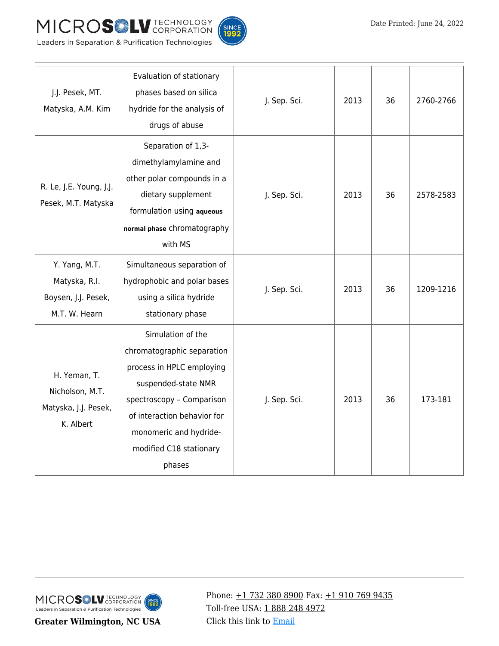





|  |  | Leaders in Separation & Purification Technologies |  |
|--|--|---------------------------------------------------|--|
|  |  |                                                   |  |

| J.J. Pesek, MT.<br>Matyska, A.M. Kim                                   | Evaluation of stationary<br>phases based on silica<br>hydride for the analysis of<br>drugs of abuse                                                                                                                            | J. Sep. Sci. | 2013 | 36 | 2760-2766 |
|------------------------------------------------------------------------|--------------------------------------------------------------------------------------------------------------------------------------------------------------------------------------------------------------------------------|--------------|------|----|-----------|
| R. Le, J.E. Young, J.J.<br>Pesek, M.T. Matyska                         | Separation of 1,3-<br>dimethylamylamine and<br>other polar compounds in a<br>dietary supplement<br>formulation using aqueous<br>normal phase chromatography<br>with MS                                                         | J. Sep. Sci. | 2013 | 36 | 2578-2583 |
| Y. Yang, M.T.<br>Matyska, R.I.<br>Boysen, J.J. Pesek,<br>M.T. W. Hearn | Simultaneous separation of<br>hydrophobic and polar bases<br>using a silica hydride<br>stationary phase                                                                                                                        | J. Sep. Sci. | 2013 | 36 | 1209-1216 |
| H. Yeman, T.<br>Nicholson, M.T.<br>Matyska, J.J. Pesek,<br>K. Albert   | Simulation of the<br>chromatographic separation<br>process in HPLC employing<br>suspended-state NMR<br>spectroscopy - Comparison<br>of interaction behavior for<br>monomeric and hydride-<br>modified C18 stationary<br>phases | J. Sep. Sci. | 2013 | 36 | 173-181   |

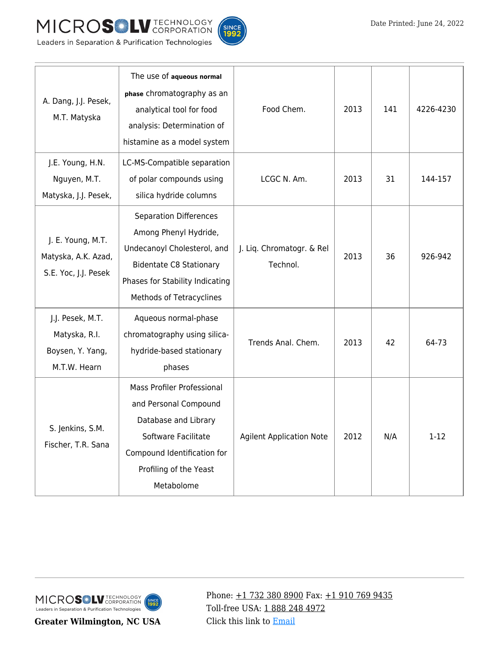

T



Т

Т

Т

| A. Dang, J.J. Pesek,<br>M.T. Matyska                                  | The use of aqueous normal<br>phase chromatography as an<br>analytical tool for food<br>analysis: Determination of                                                                      | Food Chem.                            | 2013 | 141 | 4226-4230 |
|-----------------------------------------------------------------------|----------------------------------------------------------------------------------------------------------------------------------------------------------------------------------------|---------------------------------------|------|-----|-----------|
| J.E. Young, H.N.<br>Nguyen, M.T.<br>Matyska, J.J. Pesek,              | histamine as a model system<br>LC-MS-Compatible separation<br>of polar compounds using<br>silica hydride columns                                                                       | LCGC N. Am.                           | 2013 | 31  | 144-157   |
| J. E. Young, M.T.<br>Matyska, A.K. Azad,<br>S.E. Yoc, J.J. Pesek      | <b>Separation Differences</b><br>Among Phenyl Hydride,<br>Undecanoyl Cholesterol, and<br><b>Bidentate C8 Stationary</b><br>Phases for Stability Indicating<br>Methods of Tetracyclines | J. Liq. Chromatogr. & Rel<br>Technol. | 2013 | 36  | 926-942   |
| J.J. Pesek, M.T.<br>Matyska, R.I.<br>Boysen, Y. Yang,<br>M.T.W. Hearn | Aqueous normal-phase<br>chromatography using silica-<br>hydride-based stationary<br>phases                                                                                             | Trends Anal. Chem.                    | 2013 | 42  | 64-73     |
| S. Jenkins, S.M.<br>Fischer, T.R. Sana                                | <b>Mass Profiler Professional</b><br>and Personal Compound<br>Database and Library<br>Software Facilitate<br>Compound Identification for<br>Profiling of the Yeast<br>Metabolome       | <b>Agilent Application Note</b>       | 2012 | N/A | $1 - 12$  |



**Greater Wilmington, NC USA**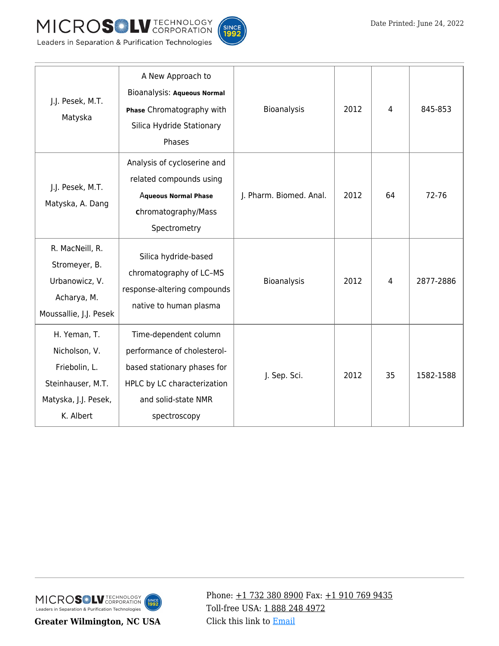



| J.J. Pesek, M.T.<br>Matyska                                                                              | A New Approach to<br>Bioanalysis: Aqueous Normal<br>Phase Chromatography with<br>Silica Hydride Stationary<br>Phases                                      | Bioanalysis             | 2012 | 4  | 845-853   |
|----------------------------------------------------------------------------------------------------------|-----------------------------------------------------------------------------------------------------------------------------------------------------------|-------------------------|------|----|-----------|
| J.J. Pesek, M.T.<br>Matyska, A. Dang                                                                     | Analysis of cycloserine and<br>related compounds using<br><b>Aqueous Normal Phase</b><br>chromatography/Mass<br>Spectrometry                              | J. Pharm. Biomed. Anal. | 2012 | 64 | 72-76     |
| R. MacNeill, R.<br>Stromeyer, B.<br>Urbanowicz, V.<br>Acharya, M.<br>Moussallie, J.J. Pesek              | Silica hydride-based<br>chromatography of LC-MS<br>response-altering compounds<br>native to human plasma                                                  | Bioanalysis             | 2012 | 4  | 2877-2886 |
| H. Yeman, T.<br>Nicholson, V.<br>Friebolin, L.<br>Steinhauser, M.T.<br>Matyska, J.J. Pesek,<br>K. Albert | Time-dependent column<br>performance of cholesterol-<br>based stationary phases for<br>HPLC by LC characterization<br>and solid-state NMR<br>spectroscopy | J. Sep. Sci.            | 2012 | 35 | 1582-1588 |

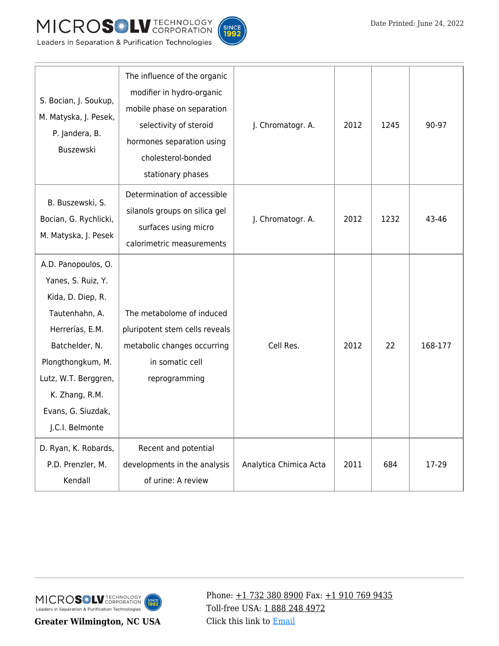



| S. Bocian, J. Soukup,<br>M. Matyska, J. Pesek,<br>P. Jandera, B.<br>Buszewski                                                                                                                                                 | The influence of the organic<br>modifier in hydro-organic<br>mobile phase on separation<br>selectivity of steroid<br>hormones separation using<br>cholesterol-bonded<br>stationary phases | J. Chromatogr. A.      | 2012 | 1245 | 90-97   |
|-------------------------------------------------------------------------------------------------------------------------------------------------------------------------------------------------------------------------------|-------------------------------------------------------------------------------------------------------------------------------------------------------------------------------------------|------------------------|------|------|---------|
| B. Buszewski, S.<br>Bocian, G. Rychlicki,<br>M. Matyska, J. Pesek                                                                                                                                                             | Determination of accessible<br>silanols groups on silica gel<br>surfaces using micro<br>calorimetric measurements                                                                         | J. Chromatogr. A.      | 2012 | 1232 | 43-46   |
| A.D. Panopoulos, O.<br>Yanes, S. Ruiz, Y.<br>Kida, D. Diep, R.<br>Tautenhahn, A.<br>Herrerías, E.M.<br>Batchelder, N.<br>Plongthongkum, M.<br>Lutz, W.T. Berggren,<br>K. Zhang, R.M.<br>Evans, G. Siuzdak,<br>J.C.I. Belmonte | The metabolome of induced<br>pluripotent stem cells reveals<br>metabolic changes occurring<br>in somatic cell<br>reprogramming                                                            | Cell Res.              | 2012 | 22   | 168-177 |
| D. Ryan, K. Robards,<br>P.D. Prenzler, M.<br>Kendall                                                                                                                                                                          | Recent and potential<br>developments in the analysis<br>of urine: A review                                                                                                                | Analytica Chimica Acta | 2011 | 684  | 17-29   |

**Greater Wilmington, NC USA**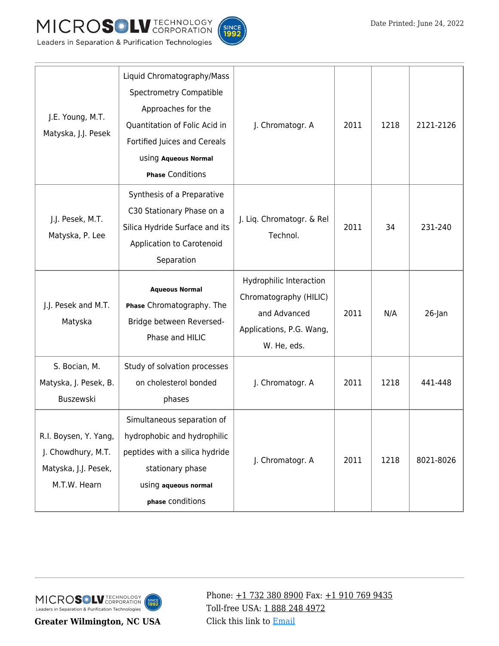



| J.E. Young, M.T.<br>Matyska, J.J. Pesek                                             | Liquid Chromatography/Mass<br>Spectrometry Compatible<br>Approaches for the<br>Quantitation of Folic Acid in<br>Fortified Juices and Cereals<br>using Aqueous Normal<br><b>Phase Conditions</b> | J. Chromatogr. A                                                                                             | 2011 | 1218 | 2121-2126 |
|-------------------------------------------------------------------------------------|-------------------------------------------------------------------------------------------------------------------------------------------------------------------------------------------------|--------------------------------------------------------------------------------------------------------------|------|------|-----------|
| J.J. Pesek, M.T.<br>Matyska, P. Lee                                                 | Synthesis of a Preparative<br>C30 Stationary Phase on a<br>Silica Hydride Surface and its<br>Application to Carotenoid<br>Separation                                                            | J. Liq. Chromatogr. & Rel<br>Technol.                                                                        | 2011 | 34   | 231-240   |
| J.J. Pesek and M.T.<br>Matyska                                                      | <b>Aqueous Normal</b><br>Phase Chromatography. The<br>Bridge between Reversed-<br>Phase and HILIC                                                                                               | Hydrophilic Interaction<br>Chromatography (HILIC)<br>and Advanced<br>Applications, P.G. Wang,<br>W. He, eds. | 2011 | N/A  | $26$ -Jan |
| S. Bocian, M.<br>Matyska, J. Pesek, B.<br>Buszewski                                 | Study of solvation processes<br>on cholesterol bonded<br>phases                                                                                                                                 | J. Chromatogr. A                                                                                             | 2011 | 1218 | 441-448   |
| R.I. Boysen, Y. Yang,<br>J. Chowdhury, M.T.<br>Matyska, J.J. Pesek,<br>M.T.W. Hearn | Simultaneous separation of<br>hydrophobic and hydrophilic<br>peptides with a silica hydride<br>stationary phase<br>using aqueous normal<br>phase conditions                                     | J. Chromatogr. A                                                                                             | 2011 | 1218 | 8021-8026 |

**Greater Wilmington, NC USA**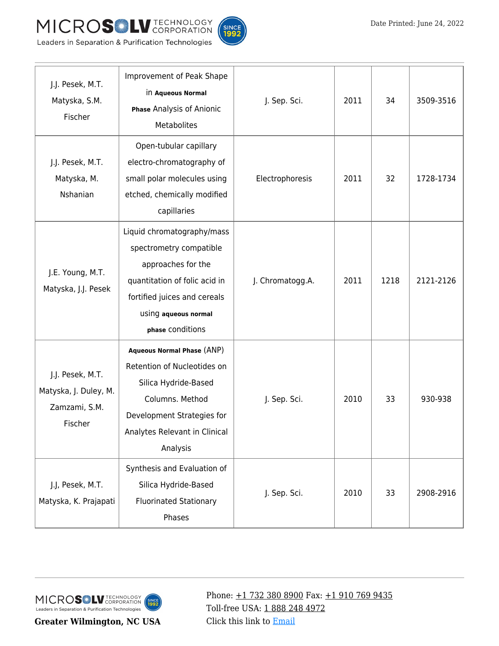



| J.J. Pesek, M.T.<br>Matyska, S.M.<br>Fischer                          | Improvement of Peak Shape<br>in Aqueous Normal<br>Phase Analysis of Anionic<br><b>Metabolites</b>                                                                                        | J. Sep. Sci.     | 2011 | 34   | 3509-3516 |
|-----------------------------------------------------------------------|------------------------------------------------------------------------------------------------------------------------------------------------------------------------------------------|------------------|------|------|-----------|
| J.J. Pesek, M.T.<br>Matyska, M.<br>Nshanian                           | Open-tubular capillary<br>electro-chromatography of<br>small polar molecules using<br>etched, chemically modified<br>capillaries                                                         | Electrophoresis  | 2011 | 32   | 1728-1734 |
| J.E. Young, M.T.<br>Matyska, J.J. Pesek                               | Liquid chromatography/mass<br>spectrometry compatible<br>approaches for the<br>quantitation of folic acid in<br>fortified juices and cereals<br>using aqueous normal<br>phase conditions | J. Chromatogg.A. | 2011 | 1218 | 2121-2126 |
| J.J. Pesek, M.T.<br>Matyska, J. Duley, M.<br>Zamzami, S.M.<br>Fischer | <b>Aqueous Normal Phase (ANP)</b><br>Retention of Nucleotides on<br>Silica Hydride-Based<br>Columns. Method<br>Development Strategies for<br>Analytes Relevant in Clinical<br>Analysis   | J. Sep. Sci.     | 2010 | 33   | 930-938   |
| J.J, Pesek, M.T.<br>Matyska, K. Prajapati                             | Synthesis and Evaluation of<br>Silica Hydride-Based<br><b>Fluorinated Stationary</b><br>Phases                                                                                           | J. Sep. Sci.     | 2010 | 33   | 2908-2916 |

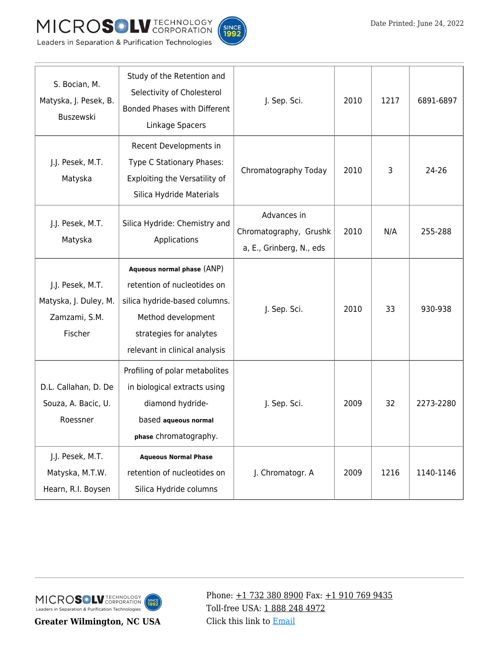



| S. Bocian, M.<br>Matyska, J. Pesek, B.<br>Buszewski                                                                                               | Study of the Retention and<br>Selectivity of Cholesterol<br><b>Bonded Phases with Different</b><br>Linkage Spacers                                                           | J. Sep. Sci.                                                      |      | 2010<br>1217 | 6891-6897 |
|---------------------------------------------------------------------------------------------------------------------------------------------------|------------------------------------------------------------------------------------------------------------------------------------------------------------------------------|-------------------------------------------------------------------|------|--------------|-----------|
| J.J. Pesek, M.T.<br>Matyska                                                                                                                       | Recent Developments in<br>Type C Stationary Phases:<br>Exploiting the Versatility of<br>Silica Hydride Materials                                                             | Chromatography Today                                              | 2010 | 3            | 24-26     |
| J.J. Pesek, M.T.<br>Matyska                                                                                                                       | Silica Hydride: Chemistry and<br>Applications                                                                                                                                | Advances in<br>Chromatography, Grushk<br>a, E., Grinberg, N., eds | 2010 | N/A          | 255-288   |
| J.J. Pesek, M.T.<br>Matyska, J. Duley, M.<br>Zamzami, S.M.<br>Fischer                                                                             | Aqueous normal phase (ANP)<br>retention of nucleotides on<br>silica hydride-based columns.<br>Method development<br>strategies for analytes<br>relevant in clinical analysis | J. Sep. Sci.                                                      | 2010 | 33           | 930-938   |
| D.L. Callahan, D. De<br>Souza, A. Bacic, U.<br>Roessner                                                                                           | Profiling of polar metabolites<br>in biological extracts using<br>diamond hydride-<br>based aqueous normal<br>phase chromatography.                                          | J. Sep. Sci.                                                      | 2009 | 32           | 2273-2280 |
| J.J. Pesek, M.T.<br><b>Aqueous Normal Phase</b><br>Matyska, M.T.W.<br>retention of nucleotides on<br>Hearn, R.I. Boysen<br>Silica Hydride columns |                                                                                                                                                                              | J. Chromatogr. A                                                  | 2009 | 1216         | 1140-1146 |

MICROSOLV TECHNOLOGY INCE<br>992 Leaders in Separation & Purification Technologies

**Greater Wilmington, NC USA**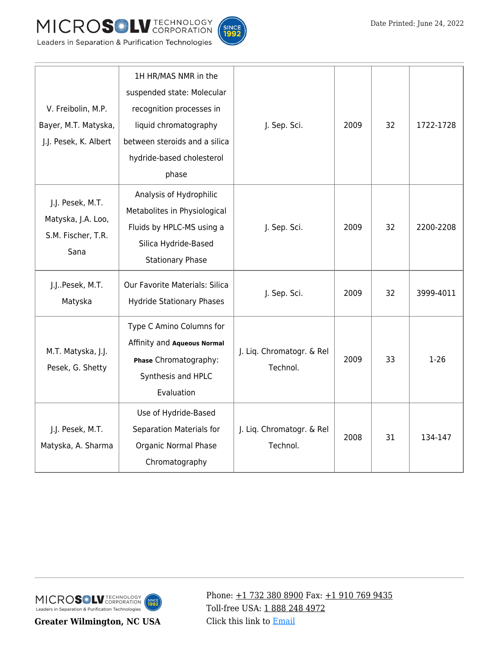



| V. Freibolin, M.P.<br>Bayer, M.T. Matyska,<br>J.J. Pesek, K. Albert  | 1H HR/MAS NMR in the<br>suspended state: Molecular<br>recognition processes in<br>liquid chromatography<br>between steroids and a silica<br>hydride-based cholesterol<br>phase | J. Sep. Sci.                          | 2009 | 32 | 1722-1728 |
|----------------------------------------------------------------------|--------------------------------------------------------------------------------------------------------------------------------------------------------------------------------|---------------------------------------|------|----|-----------|
| J.J. Pesek, M.T.<br>Matyska, J.A. Loo,<br>S.M. Fischer, T.R.<br>Sana | Analysis of Hydrophilic<br>Metabolites in Physiological<br>Fluids by HPLC-MS using a<br>Silica Hydride-Based<br><b>Stationary Phase</b>                                        | J. Sep. Sci.                          | 2009 | 32 | 2200-2208 |
| J.JPesek, M.T.<br>Matyska                                            | Our Favorite Materials: Silica<br><b>Hydride Stationary Phases</b>                                                                                                             | J. Sep. Sci.                          | 2009 | 32 | 3999-4011 |
| M.T. Matyska, J.J.<br>Pesek, G. Shetty                               | Type C Amino Columns for<br>Affinity and Aqueous Normal<br>Phase Chromatography:<br>Synthesis and HPLC<br>Evaluation                                                           | J. Liq. Chromatogr. & Rel<br>Technol. | 2009 | 33 | $1 - 26$  |
| J.J. Pesek, M.T.<br>Matyska, A. Sharma                               | Use of Hydride-Based<br>Separation Materials for<br>Organic Normal Phase<br>Chromatography                                                                                     | J. Liq. Chromatogr. & Rel<br>Technol. | 2008 | 31 | 134-147   |

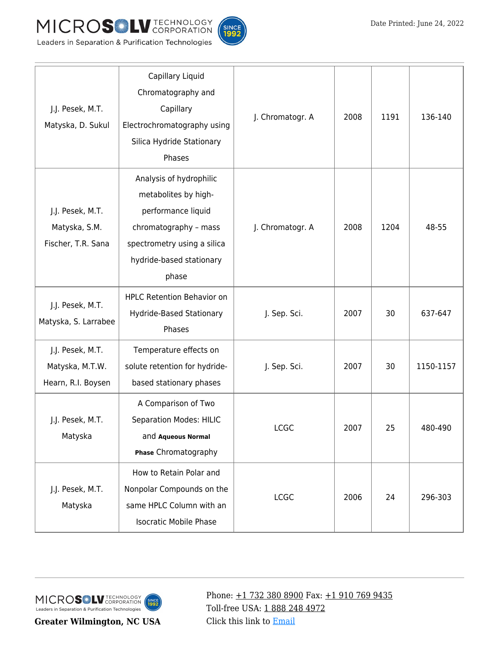





| J.J. Pesek, M.T.<br>Matyska, D. Sukul                     | Capillary Liquid<br>Chromatography and<br>Capillary<br>Electrochromatography using<br>Silica Hydride Stationary<br>Phases                                          | J. Chromatogr. A | 2008 | 1191 | 136-140   |
|-----------------------------------------------------------|--------------------------------------------------------------------------------------------------------------------------------------------------------------------|------------------|------|------|-----------|
| J.J. Pesek, M.T.<br>Matyska, S.M.<br>Fischer, T.R. Sana   | Analysis of hydrophilic<br>metabolites by high-<br>performance liquid<br>chromatography - mass<br>spectrometry using a silica<br>hydride-based stationary<br>phase | J. Chromatogr. A | 2008 | 1204 | 48-55     |
| J.J. Pesek, M.T.<br>Matyska, S. Larrabee                  | <b>HPLC Retention Behavior on</b><br>Hydride-Based Stationary<br>Phases                                                                                            | J. Sep. Sci.     | 2007 | 30   | 637-647   |
| J.J. Pesek, M.T.<br>Matyska, M.T.W.<br>Hearn, R.I. Boysen | Temperature effects on<br>solute retention for hydride-<br>based stationary phases                                                                                 | J. Sep. Sci.     | 2007 | 30   | 1150-1157 |
| J.J. Pesek, M.T.<br>Matyska                               | A Comparison of Two<br><b>Separation Modes: HILIC</b><br>and Aqueous Normal<br>Phase Chromatography                                                                | <b>LCGC</b>      | 2007 | 25   | 480-490   |
| J.J. Pesek, M.T.<br>Matyska                               | How to Retain Polar and<br>Nonpolar Compounds on the<br>same HPLC Column with an<br><b>Isocratic Mobile Phase</b>                                                  | <b>LCGC</b>      | 2006 | 24   | 296-303   |

**Greater Wilmington, NC USA**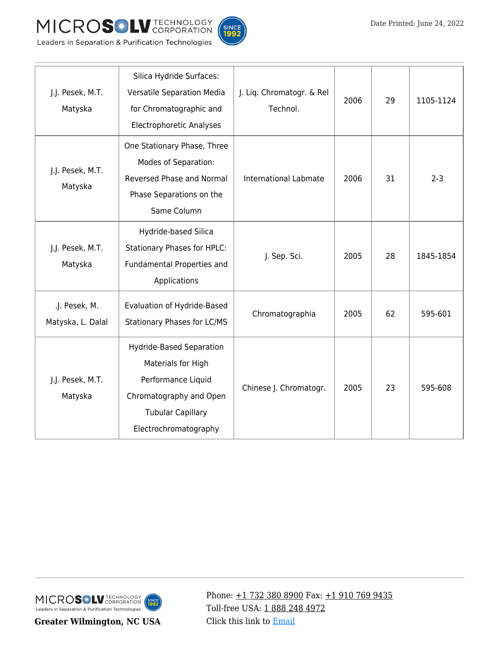



| J.J. Pesek, M.T.<br>Matyska        | Silica Hydride Surfaces:<br>Versatile Separation Media<br>for Chromatographic and<br><b>Electrophoretic Analyses</b>                                 | J. Liq. Chromatogr. & Rel<br>Technol. | 2006 | 29 | 1105-1124 |
|------------------------------------|------------------------------------------------------------------------------------------------------------------------------------------------------|---------------------------------------|------|----|-----------|
| J.J. Pesek, M.T.<br>Matyska        | One Stationary Phase, Three<br>Modes of Separation:<br>Reversed Phase and Normal<br>Phase Separations on the<br>Same Column                          | <b>International Labmate</b>          | 2006 | 31 | $2 - 3$   |
| J.J. Pesek, M.T.<br>Matyska        | Hydride-based Silica<br><b>Stationary Phases for HPLC:</b><br>Fundamental Properties and<br>Applications                                             | J. Sep. Sci.                          | 2005 | 28 | 1845-1854 |
| .J. Pesek, M.<br>Matyska, L. Dalal | Evaluation of Hydride-Based<br><b>Stationary Phases for LC/MS</b>                                                                                    | Chromatographia                       | 2005 | 62 | 595-601   |
| J.J. Pesek, M.T.<br>Matyska        | Hydride-Based Separation<br>Materials for High<br>Performance Liquid<br>Chromatography and Open<br><b>Tubular Capillary</b><br>Electrochromatography | Chinese J. Chromatogr.                | 2005 | 23 | 595-608   |

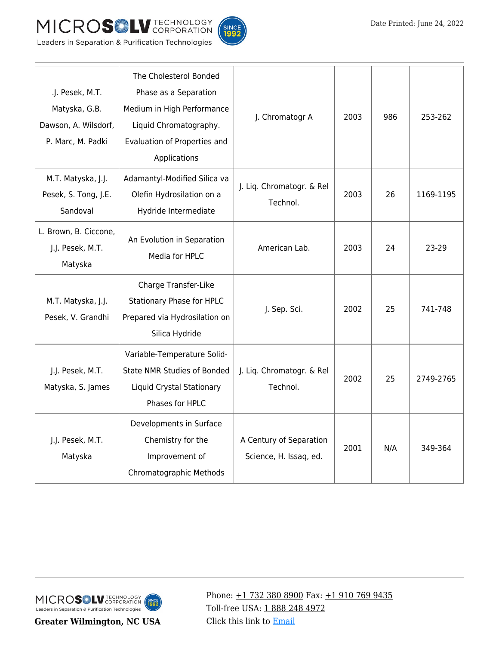



| .J. Pesek, M.T.<br>Matyska, G.B.<br>Dawson, A. Wilsdorf,<br>P. Marc, M. Padki | The Cholesterol Bonded<br>Phase as a Separation<br>Medium in High Performance<br>Liquid Chromatography.<br>Evaluation of Properties and<br>Applications | J. Chromatogr A                                   | 2003 | 986 | 253-262   |
|-------------------------------------------------------------------------------|---------------------------------------------------------------------------------------------------------------------------------------------------------|---------------------------------------------------|------|-----|-----------|
| M.T. Matyska, J.J.<br>Pesek, S. Tong, J.E.<br>Sandoval                        | Adamantyl-Modified Silica va<br>Olefin Hydrosilation on a<br>Hydride Intermediate                                                                       | J. Liq. Chromatogr. & Rel<br>Technol.             | 2003 | 26  | 1169-1195 |
| L. Brown, B. Ciccone,<br>J.J. Pesek, M.T.<br>Matyska                          | An Evolution in Separation<br>Media for HPLC                                                                                                            | American Lab.                                     | 2003 | 24  | 23-29     |
| M.T. Matyska, J.J.<br>Pesek, V. Grandhi                                       | Charge Transfer-Like<br>Stationary Phase for HPLC<br>Prepared via Hydrosilation on<br>Silica Hydride                                                    | J. Sep. Sci.                                      | 2002 | 25  | 741-748   |
| J.J. Pesek, M.T.<br>Matyska, S. James                                         | Variable-Temperature Solid-<br><b>State NMR Studies of Bonded</b><br>Liquid Crystal Stationary<br>Phases for HPLC                                       | J. Liq. Chromatogr. & Rel<br>Technol.             | 2002 | 25  | 2749-2765 |
| J.J. Pesek, M.T.<br>Matyska                                                   | Developments in Surface<br>Chemistry for the<br>Improvement of<br>Chromatographic Methods                                                               | A Century of Separation<br>Science, H. Issaq, ed. | 2001 | N/A | 349-364   |

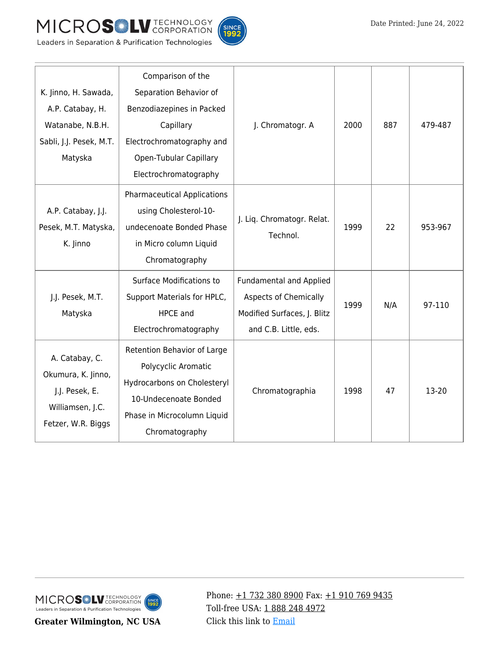





|  |  | Leaders in Separation & Purification Technologies |
|--|--|---------------------------------------------------|
|  |  |                                                   |

| K. Jinno, H. Sawada,<br>A.P. Catabay, H.                                                         | Comparison of the<br>Separation Behavior of<br>Benzodiazepines in Packed                                                                                    |                                                                                                                        |      |     |         |
|--------------------------------------------------------------------------------------------------|-------------------------------------------------------------------------------------------------------------------------------------------------------------|------------------------------------------------------------------------------------------------------------------------|------|-----|---------|
| Watanabe, N.B.H.<br>Sabli, J.J. Pesek, M.T.<br>Matyska                                           | Capillary<br>Electrochromatography and<br><b>Open-Tubular Capillary</b><br>Electrochromatography                                                            | J. Chromatogr. A                                                                                                       | 2000 | 887 | 479-487 |
| A.P. Catabay, J.J.<br>Pesek, M.T. Matyska,<br>K. Jinno                                           | <b>Pharmaceutical Applications</b><br>using Cholesterol-10-<br>undecenoate Bonded Phase<br>in Micro column Liquid<br>Chromatography                         | J. Liq. Chromatogr. Relat.<br>Technol.                                                                                 | 1999 | 22  | 953-967 |
| J.J. Pesek, M.T.<br>Matyska                                                                      | <b>Surface Modifications to</b><br>Support Materials for HPLC,<br><b>HPCE</b> and<br>Electrochromatography                                                  | <b>Fundamental and Applied</b><br><b>Aspects of Chemically</b><br>Modified Surfaces, J. Blitz<br>and C.B. Little, eds. | 1999 | N/A | 97-110  |
| A. Catabay, C.<br>Okumura, K. Jinno,<br>J.J. Pesek, E.<br>Williamsen, J.C.<br>Fetzer, W.R. Biggs | Retention Behavior of Large<br>Polycyclic Aromatic<br>Hydrocarbons on Cholesteryl<br>10-Undecenoate Bonded<br>Phase in Microcolumn Liquid<br>Chromatography | Chromatographia                                                                                                        | 1998 | 47  | 13-20   |

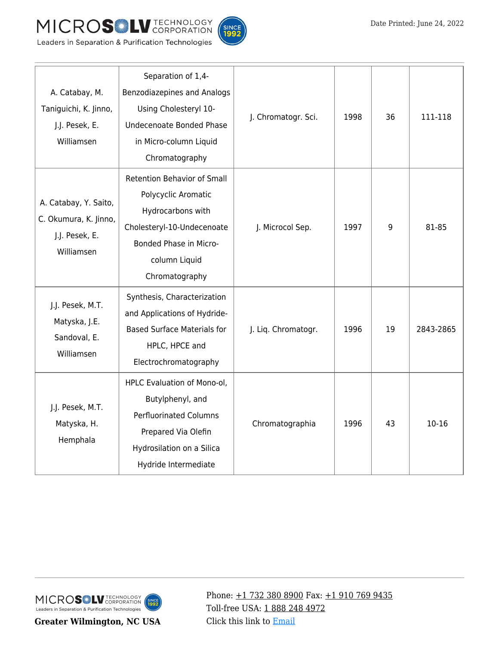



Leaders in Separation & Purification Technologies

| A. Catabay, M.<br>Taniguichi, K. Jinno,<br>J.J. Pesek, E.<br>Williamsen        | Separation of 1,4-<br>Benzodiazepines and Analogs<br>Using Cholesteryl 10-<br>Undecenoate Bonded Phase<br>in Micro-column Liquid<br>Chromatography                        | J. Chromatogr. Sci. | 1998 | 36 | 111-118   |
|--------------------------------------------------------------------------------|---------------------------------------------------------------------------------------------------------------------------------------------------------------------------|---------------------|------|----|-----------|
| A. Catabay, Y. Saito,<br>C. Okumura, K. Jinno,<br>J.J. Pesek, E.<br>Williamsen | <b>Retention Behavior of Small</b><br>Polycyclic Aromatic<br>Hydrocarbons with<br>Cholesteryl-10-Undecenoate<br>Bonded Phase in Micro-<br>column Liquid<br>Chromatography | J. Microcol Sep.    | 1997 | 9  | 81-85     |
| J.J. Pesek, M.T.<br>Matyska, J.E.<br>Sandoval, E.<br>Williamsen                | Synthesis, Characterization<br>and Applications of Hydride-<br><b>Based Surface Materials for</b><br>HPLC, HPCE and<br>Electrochromatography                              | J. Liq. Chromatogr. | 1996 | 19 | 2843-2865 |
| J.J. Pesek, M.T.<br>Matyska, H.<br>Hemphala                                    | HPLC Evaluation of Mono-ol,<br>Butylphenyl, and<br><b>Perfluorinated Columns</b><br>Prepared Via Olefin<br>Hydrosilation on a Silica<br>Hydride Intermediate              | Chromatographia     | 1996 | 43 | $10 - 16$ |



**Greater Wilmington, NC USA**